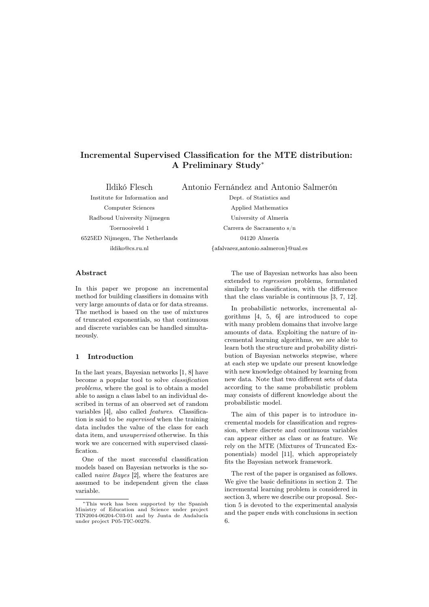# Incremental Supervised Classification for the MTE distribution: A Preliminary Study<sup>∗</sup>

Ildikó Flesch Antonio Fernández and Antonio Salmerón

Institute for Information and Dept. of Statistics and Radboud University Nijmegen University of Almería 6525ED Nijmegen, The Netherlands 04120 Almería

Computer Sciences Applied Mathematics Toernooiveld 1 Carrera de Sacramento s/n ildiko@cs.ru.nl {afalvarez,antonio.salmeron}@ual.es

## Abstract

In this paper we propose an incremental method for building classifiers in domains with very large amounts of data or for data streams. The method is based on the use of mixtures of truncated exponentials, so that continuous and discrete variables can be handled simultaneously.

## 1 Introduction

In the last years, Bayesian networks [1, 8] have become a popular tool to solve classification problems, where the goal is to obtain a model able to assign a class label to an individual described in terms of an observed set of random variables [4], also called features. Classification is said to be supervised when the training data includes the value of the class for each data item, and unsupervised otherwise. In this work we are concerned with supervised classification.

One of the most successful classification models based on Bayesian networks is the socalled naive Bayes [2], where the features are assumed to be independent given the class variable.

The use of Bayesian networks has also been extended to regression problems, formulated similarly to classification, with the difference that the class variable is continuous [3, 7, 12].

In probabilistic networks, incremental algorithms [4, 5, 6] are introduced to cope with many problem domains that involve large amounts of data. Exploiting the nature of incremental learning algorithms, we are able to learn both the structure and probability distribution of Bayesian networks stepwise, where at each step we update our present knowledge with new knowledge obtained by learning from new data. Note that two different sets of data according to the same probabilistic problem may consists of different knowledge about the probabilistic model.

The aim of this paper is to introduce incremental models for classification and regression, where discrete and continuous variables can appear either as class or as feature. We rely on the MTE (Mixtures of Truncated Exponentials) model [11], which appropriately fits the Bayesian network framework.

The rest of the paper is organised as follows. We give the basic definitions in section 2. The incremental learning problem is considered in section 3, where we describe our proposal. Section 5 is devoted to the experimental analysis and the paper ends with conclusions in section 6.

<sup>∗</sup>This work has been supported by the Spanish Ministry of Education and TIN2004-06204-C03-01 and by Junta de Andalucía under project P05-TIC-00276.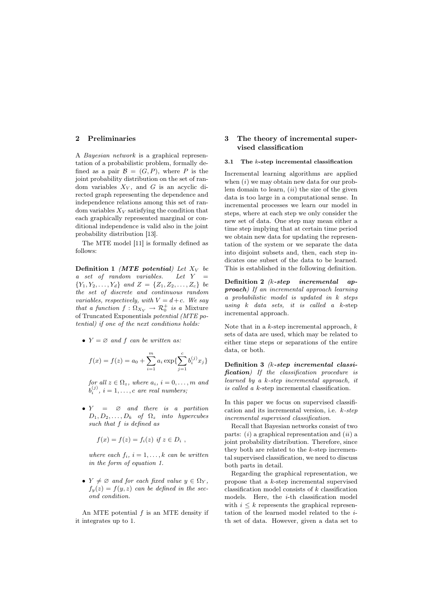# 2 Preliminaries

A Bayesian network is a graphical representation of a probabilistic problem, formally defined as a pair  $\mathcal{B} = (G, P)$ , where P is the joint probability distribution on the set of random variables  $X_V$ , and G is an acyclic directed graph representing the dependence and independence relations among this set of random variables  $X_V$  satisfying the condition that each graphically represented marginal or conditional independence is valid also in the joint probability distribution [13].

The MTE model [11] is formally defined as follows:

Definition 1 (MTE potential) Let  $X_V$  be a set of random variables. Let  $Y =$  ${Y_1, Y_2, \ldots, Y_d}$  and  $Z = {Z_1, Z_2, \ldots, Z_c}$  be the set of discrete and continuous random variables, respectively, with  $V = d+c$ . We say that a function  $f : \Omega_{X_V} \to \mathcal{R}_0^+$  is a Mixture of Truncated Exponentials potential (MTE potential) if one of the next conditions holds:

•  $Y = \emptyset$  and f can be written as:

$$
f(x) = f(z) = a_0 + \sum_{i=1}^{m} a_i \exp{\{\sum_{j=1}^{c} b_i^{(j)} x_j\}}
$$

for all  $z \in \Omega_z$ , where  $a_i$ ,  $i = 0, \ldots, m$  and  $b_i^{(j)}$ ,  $i = 1, \ldots, c$  are real numbers;

•  $Y = \emptyset$  and there is a partition  $D_1, D_2, \ldots, D_k$  of  $\Omega_z$  into hypercubes such that f is defined as

$$
f(x) = f(z) = f_i(z) \text{ if } z \in D_i ,
$$

where each  $f_i$ ,  $i = 1, \ldots, k$  can be written in the form of equation 1.

•  $Y \neq \emptyset$  and for each fixed value  $y \in \Omega_Y$ ,  $f_y(z) = f(y, z)$  can be defined in the second condition.

An MTE potential  $f$  is an MTE density if it integrates up to 1.

# 3 The theory of incremental supervised classification

#### 3.1 The  $k$ -step incremental classification

Incremental learning algorithms are applied when  $(i)$  we may obtain new data for our problem domain to learn,  $(ii)$  the size of the given data is too large in a computational sense. In incremental processes we learn our model in steps, where at each step we only consider the new set of data. One step may mean either a time step implying that at certain time period we obtain new data for updating the representation of the system or we separate the data into disjoint subsets and, then, each step indicates one subset of the data to be learned. This is established in the following definition.

Definition 2 (k-step incremental approach) If an incremental approach learning a probabilistic model is updated in k steps using  $k$  data sets, it is called a  $k$ -step incremental approach.

Note that in a  $k$ -step incremental approach,  $k$ sets of data are used, which may be related to either time steps or separations of the entire data, or both.

Definition 3 (k-step incremental classification) If the classification procedure is learned by a k-step incremental approach, it is called a k-step incremental classification.

In this paper we focus on supervised classification and its incremental version, i.e. k-step incremental supervised classification.

Recall that Bayesian networks consist of two parts:  $(i)$  a graphical representation and  $(ii)$  a joint probability distribution. Therefore, since they both are related to the  $k$ -step incremental supervised classification, we need to discuss both parts in detail.

Regarding the graphical representation, we propose that a k-step incremental supervised classification model consists of k classification models. Here, the  $i$ -th classification model with  $i \leq k$  represents the graphical representation of the learned model related to the ith set of data. However, given a data set to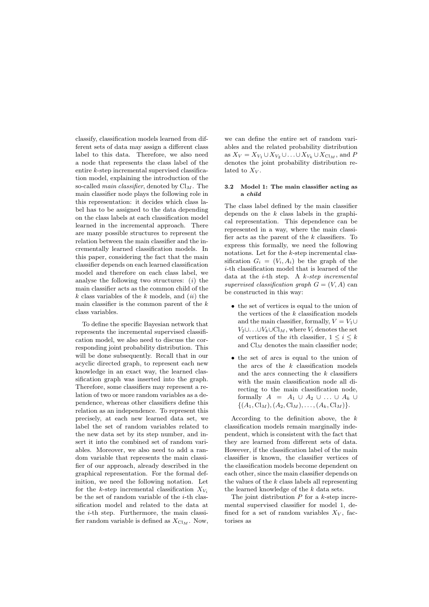classify, classification models learned from different sets of data may assign a different class label to this data. Therefore, we also need a node that represents the class label of the entire k-step incremental supervised classification model, explaining the introduction of the so-called *main classifier*, denoted by  $\text{Cl}_M$ . The main classifier node plays the following role in this representation: it decides which class label has to be assigned to the data depending on the class labels at each classification model learned in the incremental approach. There are many possible structures to represent the relation between the main classifier and the incrementally learned classification models. In this paper, considering the fact that the main classifier depends on each learned classification model and therefore on each class label, we analyse the following two structures:  $(i)$  the main classifier acts as the common child of the  $k$  class variables of the  $k$  models, and  $(ii)$  the main classifier is the common parent of the  $k$ class variables.

To define the specific Bayesian network that represents the incremental supervised classification model, we also need to discuss the corresponding joint probability distribution. This will be done subsequently. Recall that in our acyclic directed graph, to represent each new knowledge in an exact way, the learned classification graph was inserted into the graph. Therefore, some classifiers may represent a relation of two or more random variables as a dependence, whereas other classifiers define this relation as an independence. To represent this precisely, at each new learned data set, we label the set of random variables related to the new data set by its step number, and insert it into the combined set of random variables. Moreover, we also need to add a random variable that represents the main classifier of our approach, already described in the graphical representation. For the formal definition, we need the following notation. Let for the k-step incremental classification  $X_{V_i}$ be the set of random variable of the  $i$ -th classification model and related to the data at the i-th step. Furthermore, the main classifier random variable is defined as  $X_{\text{Cl}_M}$ . Now, we can define the entire set of random variables and the related probability distribution as  $X_V = X_{V_1} \cup X_{V_2} \cup \ldots \cup X_{V_k} \cup X_{\text{Cl}_M}$ , and P denotes the joint probability distribution related to  $X_V$ .

#### 3.2 Model 1: The main classifier acting as a child

The class label defined by the main classifier depends on the  $k$  class labels in the graphical representation. This dependence can be represented in a way, where the main classifier acts as the parent of the  $k$  classifiers. To express this formally, we need the following notations. Let for the k-step incremental classification  $G_i = (V_i, A_i)$  be the graph of the i-th classification model that is learned of the data at the  $i$ -th step. A  $k$ -step incremental supervised classification graph  $G = (V, A)$  can be constructed in this way:

- the set of vertices is equal to the union of the vertices of the  $k$  classification models and the main classifier, formally,  $V = V_1 \cup$  $V_2\cup\ldots\cup V_k\cup\mathrm{Cl}_M$ , where  $V_i$  denotes the set of vertices of the *i*th classifier,  $1 \leq i \leq k$ and  $\mathrm{Cl}_M$  denotes the main classifier node;
- the set of arcs is equal to the union of the arcs of the  $k$  classification models and the arcs connecting the  $k$  classifiers with the main classification node all directing to the main classification node, formally  $A = A_1 \cup A_2 \cup ... \cup A_k \cup$  $\{(A_1, \text{Cl}_M), (A_2, \text{Cl}_M), \ldots, (A_k, \text{Cl}_M)\}.$

According to the definition above, the  $k$ classification models remain marginally independent, which is consistent with the fact that they are learned from different sets of data. However, if the classification label of the main classifier is known, the classifier vertices of the classification models become dependent on each other, since the main classifier depends on the values of the  $k$  class labels all representing the learned knowledge of the k data sets.

The joint distribution  $P$  for a  $k$ -step incremental supervised classifier for model 1, defined for a set of random variables  $X_V$ , factorises as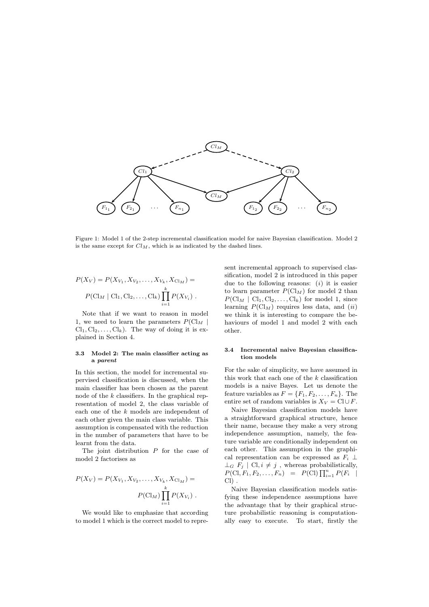

Figure 1: Model 1 of the 2-step incremental classification model for naive Bayesian classification. Model 2 is the same except for  $Cl_M$ , which is as indicated by the dashed lines.

$$
P(X_V) = P(X_{V_1}, X_{V_2}, \dots, X_{V_k}, X_{Cl_M}) =
$$
  

$$
P(Cl_M | Cl_1, Cl_2, \dots, Cl_k) \prod_{i=1}^k P(X_{V_i}).
$$

Note that if we want to reason in model 1, we need to learn the parameters  $P(\text{Cl}_M | \text{C})$  $Cl_1, Cl_2, \ldots, Cl_k$ . The way of doing it is explained in Section 4.

#### 3.3 Model 2: The main classifier acting as a parent

In this section, the model for incremental supervised classification is discussed, when the main classifier has been chosen as the parent node of the  $k$  classifiers. In the graphical representation of model 2, the class variable of each one of the k models are independent of each other given the main class variable. This assumption is compensated with the reduction in the number of parameters that have to be learnt from the data.

The joint distribution  $P$  for the case of model 2 factorises as

$$
P(X_V) = P(X_{V_1}, X_{V_2}, \dots, X_{V_k}, X_{Cl_M}) =
$$
  

$$
P(Cl_M) \prod_{i=1}^k P(X_{V_i}).
$$

We would like to emphasize that according to model 1 which is the correct model to represent incremental approach to supervised classification, model 2 is introduced in this paper due to the following reasons:  $(i)$  it is easier to learn parameter  $P(Cl_M)$  for model 2 than  $P(Cl_M | Cl_1, Cl_2, \ldots, Cl_k)$  for model 1, since learning  $P(Cl_M)$  requires less data, and  $(ii)$ we think it is interesting to compare the behaviours of model 1 and model 2 with each other.

#### 3.4 Incremental naive Bayesian classification models

For the sake of simplicity, we have assumed in this work that each one of the  $k$  classification models is a naive Bayes. Let us denote the feature variables as  $F = \{F_1, F_2, \ldots, F_n\}$ . The entire set of random variables is  $X_V = \text{Cl} \cup F$ .

Naive Bayesian classification models have a straightforward graphical structure, hence their name, because they make a very strong independence assumption, namely, the feature variable are conditionally independent on each other. This assumption in the graphical representation can be expressed as  $F_i \perp$  $\perp_G F_j \mid \text{Cl}, i \neq j$ , whereas probabilistically,  $P(Cl, F_1, F_2, \ldots, F_n) = P(Cl) \prod_{i=1}^n P(F_i |$  $Cl$ ).

Naive Bayesian classification models satisfying these independence assumptions have the advantage that by their graphical structure probabilistic reasoning is computationally easy to execute. To start, firstly the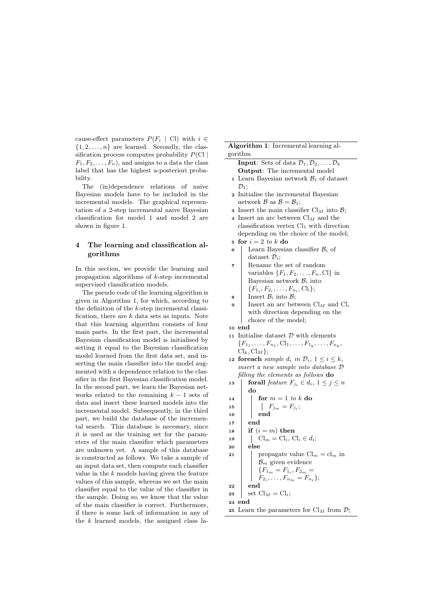cause-effect parameters  $P(F_i \mid \text{Cl})$  with  $i \in$  $\{1, 2, \ldots, n\}$  are learned. Secondly, the classification process computes probability  $P(\text{Cl } |$  $F_1, F_2, \ldots, F_n$ , and assigns to a data the class label that has the highest a-posteriori probability.

The (in)dependence relations of naive Bayesian models have to be included in the incremental models. The graphical representation of a 2-step incremental naive Bayesian classification for model 1 and model 2 are shown in figure 1.

# 4 The learning and classification algorithms

In this section, we provide the learning and propagation algorithms of k-step incremental supervised classification models.

The pseudo code of the learning algorithm is given in Algorithm 1, for which, according to the definition of the k-step incremental classification, there are  $k$  data sets as inputs. Note that this learning algorithm consists of four main parts. In the first part, the incremental Bayesian classification model is initialised by setting it equal to the Bayesian classification model learned from the first data set, and inserting the main classifier into the model augmented with a dependence relation to the classifier in the first Bayesian classification model. In the second part, we learn the Bayesian networks related to the remaining  $k - 1$  sets of data and insert these learned models into the incremental model. Subsequently, in the third part, we build the database of the incremental search. This database is necessary, since it is used as the training set for the parameters of the main classifier which parameters are unknown yet. A sample of this database is constructed as follows. We take a sample of an input data set, then compute each classifier value in the k models having given the feature values of this sample, whereas we set the main classifier equal to the value of the classifier in the sample. Doing so, we know that the value of the main classifier is correct. Furthermore, if there is some lack of information in any of the  $k$  learned models, the assigned class la-

Algorithm 1: Incremental learning algorithm

- **Input:** Sets of data  $\mathcal{D}_1, \mathcal{D}_2, \ldots, \mathcal{D}_k$ Output: The incremental model 1 Learn Bayesian network  $\mathcal{B}_1$  of dataset
- $\mathcal{D}_1$ : <sup>2</sup> Initialise the incremental Bayesian
- network  $\mathcal{B}$  as  $\mathcal{B} = \mathcal{B}_1$ ;
- **3** Insert the main classifier  $\text{Cl}_M$  into  $\mathcal{B}$ ;
- 4 Insert an arc between  $\mathrm{Cl}_M$  and the classification vertex  $Cl_1$  with direction depending on the choice of the model;
- 5 for  $i = 2$  to k do
- 6 Learn Bayesian classifier  $\mathcal{B}_i$  of dataset  $\mathcal{D}_i$ ;
- <sup>7</sup> Rename the set of random variables  $\{F_1, F_2, \ldots, F_n, C\}$  in Bayesian network  $\mathcal{B}_i$  into  ${F_1, F_2, \ldots, F_{n_i}, C_l}$ ;
- $\mathbf{s}$  | Insert  $\mathcal{B}_i$  into  $\mathcal{B}_i$ ;
- 9 | Insert an arc between  $\text{\rm Cl}_M$  and  $\text{\rm Cl}_i$ with direction depending on the choice of the model;

<sup>10</sup> end

- 11 Initialise dataset  $\mathcal D$  with elements  ${F_1, \ldots, F_{n_1}, \text{Cl}_1, \ldots, F_{1_k}, \ldots, F_{n_k},$  $\text{Cl}_k, \text{Cl}_M\};$
- 12 foreach sample  $d_i$  in  $\mathcal{D}_i$ ,  $1 \leq i \leq k$ , insert a new sample into database D filling the elements as follows do
- 13 forall feature  $F_{i_i} \in d_i$ ,  $1 \leq j \leq n$ do
- 14 **for**  $m = 1$  to k do
- 15 | |  $F_{j_m} = F_{j_i};$
- $16$  end
- $17$  end
- 18 if  $(i = m)$  then
- <sup>19</sup> Cl<sup>m</sup> = Cli, Cl<sup>i</sup> ∈ di;
- <sup>20</sup> else
- 21 | propagate value  $\text{Cl}_m = \text{cl}_m$  in  $B_m$  given evidence  ${F_1}_m = F_{1_i}, F_{2_m} =$  $F_{2_i}, \ldots, F_{n_m} = F_{n_i};$  $22$  end 23 set  $\text{Cl}_M = \text{Cl}_i$ ;
- <sup>24</sup> end
- 25 Learn the parameters for  $\mathrm{Cl}_M$  from  $\mathcal{D}$ ;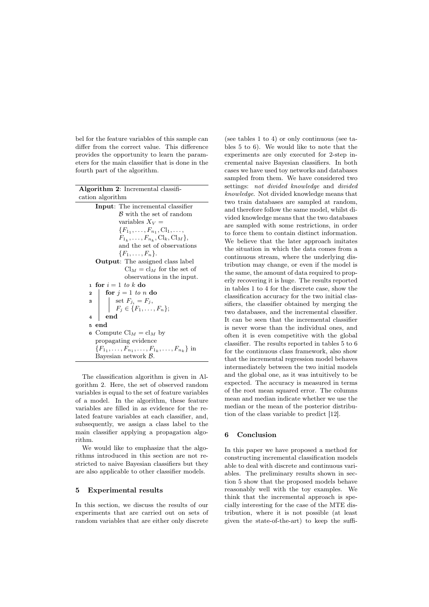bel for the feature variables of this sample can differ from the correct value. This difference provides the opportunity to learn the parameters for the main classifier that is done in the fourth part of the algorithm.

| <b>Algorithm 2:</b> Incremental classifi- |                                                                                                     |  |  |
|-------------------------------------------|-----------------------------------------------------------------------------------------------------|--|--|
|                                           | cation algorithm                                                                                    |  |  |
|                                           | <b>Input:</b> The incremental classifier                                                            |  |  |
|                                           | B with the set of random                                                                            |  |  |
|                                           | variables $X_V =$                                                                                   |  |  |
|                                           | ${F_1, \ldots, F_{n_1}, \text{Cl}_1, \ldots,$                                                       |  |  |
|                                           | $F_{1_k}, \ldots, F_{n_k}, Cl_k, Cl_M\},\$                                                          |  |  |
|                                           | and the set of observations                                                                         |  |  |
|                                           | ${F_1,\ldots,F_n}.$                                                                                 |  |  |
|                                           | <b>Output:</b> The assigned class label                                                             |  |  |
|                                           | $Cl_M = cl_M$ for the set of                                                                        |  |  |
|                                           | observations in the input.                                                                          |  |  |
| $\mathbf{1}$                              | for $i=1$ to k do                                                                                   |  |  |
| $\mathbf{2}$                              | for $j = 1$ to n do                                                                                 |  |  |
|                                           |                                                                                                     |  |  |
|                                           | 3 $\Bigg  \begin{array}{c} \text{set } F_{j_i} = F_j, \\ F_j \in \{F_1, \ldots, F_n\}; \end{array}$ |  |  |
| $\overline{\bf 4}$                        | $_{\mathrm{end}}$                                                                                   |  |  |
| К                                         | end                                                                                                 |  |  |
|                                           | 6 Compute $\mathrm{Cl}_M = \mathrm{cl}_M$ by                                                        |  |  |
|                                           | propagating evidence                                                                                |  |  |
|                                           | ${F_1, \ldots, F_{n_1}, \ldots, F_{1_k}, \ldots, F_{n_k}}$ in                                       |  |  |
|                                           | Bayesian network $\beta$ .                                                                          |  |  |

The classification algorithm is given in Algorithm 2. Here, the set of observed random variables is equal to the set of feature variables of a model. In the algorithm, these feature variables are filled in as evidence for the related feature variables at each classifier, and, subsequently, we assign a class label to the main classifier applying a propagation algorithm.

We would like to emphasize that the algorithms introduced in this section are not restricted to naive Bayesian classifiers but they are also applicable to other classifier models.

#### 5 Experimental results

In this section, we discuss the results of our experiments that are carried out on sets of random variables that are either only discrete (see tables 1 to 4) or only continuous (see tables 5 to 6). We would like to note that the experiments are only executed for 2-step incremental naive Bayesian classifiers. In both cases we have used toy networks and databases sampled from them. We have considered two settings: not divided knowledge and divided knowledge. Not divided knowledge means that two train databases are sampled at random, and therefore follow the same model, whilst divided knowledge means that the two databases are sampled with some restrictions, in order to force them to contain distinct information. We believe that the later approach imitates the situation in which the data comes from a continuous stream, where the underlying distribution may change, or even if the model is the same, the amount of data required to properly recovering it is huge. The results reported in tables 1 to 4 for the discrete case, show the classification accuracy for the two initial classifiers, the classifier obtained by merging the two databases, and the incremental classifier. It can be seen that the incremental classifier is never worse than the individual ones, and often it is even competitive with the global classifier. The results reported in tables 5 to 6 for the continuous class framework, also show that the incremental regression model behaves intermediately between the two initial models and the global one, as it was intuitively to be expected. The accuracy is measured in terms of the root mean squared error. The columns mean and median indicate whether we use the median or the mean of the posterior distribution of the class variable to predict [12].

# 6 Conclusion

In this paper we have proposed a method for constructing incremental classification models able to deal with discrete and continuous variables. The preliminary results shown in section 5 show that the proposed models behave reasonably well with the toy examples. We think that the incremental approach is specially interesting for the case of the MTE distribution, where it is not possible (at least given the state-of-the-art) to keep the suffi-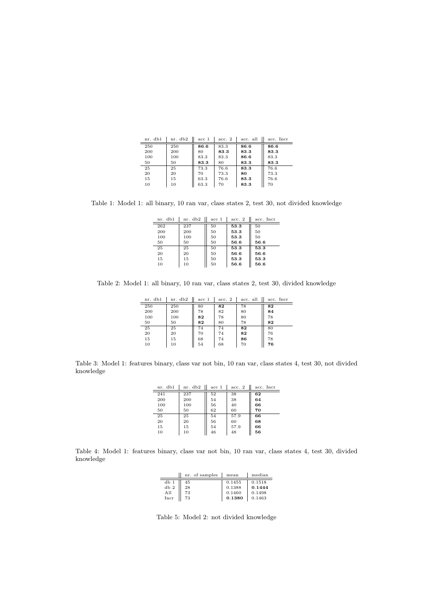| nr. db1 | nr. db2 | acc <sub>1</sub> | acc. 2 | acc. all | acc. Incr |
|---------|---------|------------------|--------|----------|-----------|
| 250     | 250     | 86.6             | 83.3   | 86.6     | 86.6      |
| 200     | 200     | 80               | 83.3   | 83.3     | 83.3      |
| 100     | 100     | 83.3             | 83.3   | 86.6     | 83.3      |
| 50      | 50      | 83.3             | 80     | 83.3     | 83.3      |
| 25      | 25      | 73.3             | 76.6   | 83.3     | 76.6      |
| 20      | 20      | 70               | 73.3   | 80       | 73.3      |
| 15      | 15      | 63.3             | 76.6   | 83.3     | 76.6      |
| 10      | 10      | 63.3             | 70     | 83.3     | 70        |
|         |         |                  |        |          |           |

Table 1: Model 1: all binary, 10 ran var, class states 2, test 30, not divided knowledge

| nr. db1 | nr. db2 | acc 1 | acc. 2 | acc. Incr |
|---------|---------|-------|--------|-----------|
| 262     | 237     | 50    | 53.3   | 50        |
| 200     | 200     | 50    | 53.3   | 50        |
| 100     | 100     | 50    | 53.3   | 50        |
| 50      | 50      | 50    | 56.6   | 56.6      |
| 25      | 25      | 50    | 53.3   | 53.3      |
| 20      | 20      | 50    | 56.6   | 56.6      |
| 15      | 15      | 50    | 53.3   | 53.3      |
| 10      | 10      | 50    | 56.6   | 56.6      |

Table 2: Model 1: all binary, 10 ran var, class states 2, test 30, divided knowledge

| nr. db1 | nr. db2 | acc 1 | acc. 2 | acc. all | acc. Incr |
|---------|---------|-------|--------|----------|-----------|
| 250     | 250     | 80    | 82     | 78       | 82        |
| 200     | 200     | 78    | 82     | 80       | 84        |
| 100     | 100     | 82    | 78     | 80       | 78        |
| 50      | 50      | 82    | 80     | 78       | 82        |
| 25      | 25      | 74    | 74     | 82       | 80        |
| 20      | 20      | 70    | 74     | 82       | 76        |
| 15      | 15      | 68    | 74     | 86       | 78        |
| 10      | 10      | 54    | 68     | 70       | 76        |

Table 3: Model 1: features binary, class var not bin, 10 ran var, class states 4, test 30, not divided knowledge

| nr. db1 | nr. db2 | acc <sub>1</sub> | acc. 2 | acc. Incr |
|---------|---------|------------------|--------|-----------|
| 241     | 237     | 52               | 38     | 62        |
| 200     | 200     | 54               | 38     | 64        |
| 100     | 100     | 56               | 40     | 66        |
| 50      | 50      | 62               | 60     | 70        |
| 25      | 25      | 54               | 57.9   | 66        |
| 20      | 20      | 56               | 60     | 68        |
| $15\,$  | 15      | 54               | 57.9   | 66        |
| 10      | 10      | 46               | 48     | 56        |

Table 4: Model 1: features binary, class var not bin, 10 ran var, class states 4, test 30, divided knowledge

|      | nr. of samples | mean   | median |
|------|----------------|--------|--------|
| db1  | 45             | 0.1455 | 0.1518 |
| db 2 | 28             | 0.1388 | 0.1444 |
| A11  | 73             | 0.1460 | 0.1498 |
| Incr | 73             | 0.1380 | 0.1463 |

Table 5: Model 2: not divided knowledge